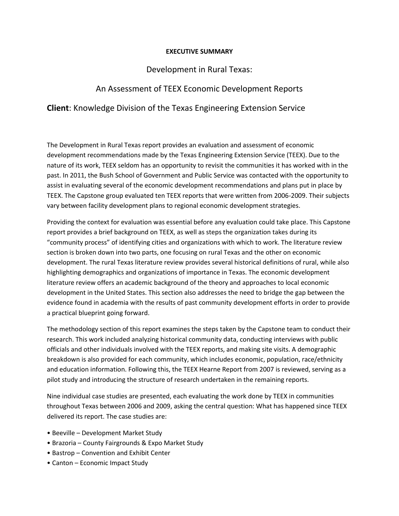## **EXECUTIVE SUMMARY**

## Development in Rural Texas:

## An Assessment of TEEX Economic Development Reports

## **Client**: Knowledge Division of the Texas Engineering Extension Service

The Development in Rural Texas report provides an evaluation and assessment of economic development recommendations made by the Texas Engineering Extension Service (TEEX). Due to the nature of its work, TEEX seldom has an opportunity to revisit the communities it has worked with in the past. In 2011, the Bush School of Government and Public Service was contacted with the opportunity to assist in evaluating several of the economic development recommendations and plans put in place by TEEX. The Capstone group evaluated ten TEEX reports that were written from 2006-2009. Their subjects vary between facility development plans to regional economic development strategies.

Providing the context for evaluation was essential before any evaluation could take place. This Capstone report provides a brief background on TEEX, as well as steps the organization takes during its "community process" of identifying cities and organizations with which to work. The literature review section is broken down into two parts, one focusing on rural Texas and the other on economic development. The rural Texas literature review provides several historical definitions of rural, while also highlighting demographics and organizations of importance in Texas. The economic development literature review offers an academic background of the theory and approaches to local economic development in the United States. This section also addresses the need to bridge the gap between the evidence found in academia with the results of past community development efforts in order to provide a practical blueprint going forward.

The methodology section of this report examines the steps taken by the Capstone team to conduct their research. This work included analyzing historical community data, conducting interviews with public officials and other individuals involved with the TEEX reports, and making site visits. A demographic breakdown is also provided for each community, which includes economic, population, race/ethnicity and education information. Following this, the TEEX Hearne Report from 2007 is reviewed, serving as a pilot study and introducing the structure of research undertaken in the remaining reports.

Nine individual case studies are presented, each evaluating the work done by TEEX in communities throughout Texas between 2006 and 2009, asking the central question: What has happened since TEEX delivered its report. The case studies are:

- Beeville Development Market Study
- Brazoria County Fairgrounds & Expo Market Study
- Bastrop Convention and Exhibit Center
- Canton Economic Impact Study